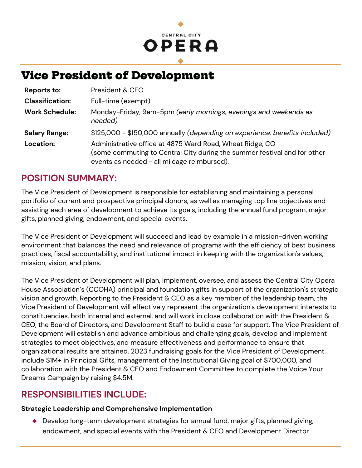# **CENTRAL CITY** OPERA

# **Vice President of Development**

| Reports to:            | President & CEO                                                                                                                                                                     |
|------------------------|-------------------------------------------------------------------------------------------------------------------------------------------------------------------------------------|
| <b>Classification:</b> | Full-time (exempt)                                                                                                                                                                  |
| <b>Work Schedule:</b>  | Monday-Friday, 9am-5pm (early mornings, evenings and weekends as<br>needed)                                                                                                         |
| <b>Salary Range:</b>   | \$125,000 - \$150,000 annually (depending on experience, benefits included)                                                                                                         |
| Location:              | Administrative office at 4875 Ward Road, Wheat Ridge, CO<br>(some commuting to Central City during the summer festival and for other<br>events as needed - all mileage reimbursed). |

## **POSITION SUMMARY:**

The Vice President of Development is responsible for establishing and maintaining a personal portfolio of current and prospective principal donors, as well as managing top line objectives and assisting each area of development to achieve its goals, including the annual fund program, major gifts, planned giving, endowment, and special events.

The Vice President of Development will succeed and lead by example in a mission-driven working environment that balances the need and relevance of programs with the efficiency of best business practices, fiscal accountability, and institutional impact in keeping with the organization's values, mission, vision, and plans.

The Vice President of Development will plan, implement, oversee, and assess the Central City Opera House Association's (CCOHA) principal and foundation gifts in support of the organization's strategic vision and growth. Reporting to the President & CEO as a key member of the leadership team, the Vice President of Development will effectively represent the organization's development interests to constituencies, both internal and external, and will work in close collaboration with the President & CEO, the Board of Directors, and Development Staff to build a case for support. The Vice President of Development will establish and advance ambitious and challenging goals, develop and implement strategies to meet objectives, and measure effectiveness and performance to ensure that organizational results are attained. 2023 fundraising goals for the Vice President of Development include \$1M+ in Principal Gifts, management of the Institutional Giving goal of \$700,000, and collaboration with the President & CEO and Endowment Committee to complete the Voice Your Dreams Campaign by raising \$4.5M.

## **RESPONSIBILITIES INCLUDE:**

### **Strategic Leadership and Comprehensive Implementation**

◆ Develop long-term development strategies for annual fund, major gifts, planned giving, endowment, and special events with the President & CEO and Development Director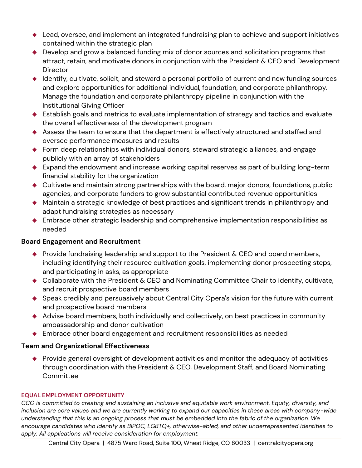- ◆ Lead, oversee, and implement an integrated fundraising plan to achieve and support initiatives contained within the strategic plan
- ◆ Develop and grow a balanced funding mix of donor sources and solicitation programs that attract, retain, and motivate donors in conjunction with the President & CEO and Development **Director**
- ◆ Identify, cultivate, solicit, and steward a personal portfolio of current and new funding sources and explore opportunities for additional individual, foundation, and corporate philanthropy. Manage the foundation and corporate philanthropy pipeline in conjunction with the Institutional Giving Officer
- ◆ Establish goals and metrics to evaluate implementation of strategy and tactics and evaluate the overall effectiveness of the development program
- ◆ Assess the team to ensure that the department is effectively structured and staffed and oversee performance measures and results
- ◆ Form deep relationships with individual donors, steward strategic alliances, and engage publicly with an array of stakeholders
- ◆ Expand the endowment and increase working capital reserves as part of building long-term financial stability for the organization
- ◆ Cultivate and maintain strong partnerships with the board, major donors, foundations, public agencies, and corporate funders to grow substantial contributed revenue opportunities
- ◆ Maintain a strategic knowledge of best practices and significant trends in philanthropy and adapt fundraising strategies as necessary
- ◆ Embrace other strategic leadership and comprehensive implementation responsibilities as needed

### **Board Engagement and Recruitment**

- $\bullet$  Provide fundraising leadership and support to the President & CEO and board members, including identifying their resource cultivation goals, implementing donor prospecting steps, and participating in asks, as appropriate
- ◆ Collaborate with the President & CEO and Nominating Committee Chair to identify, cultivate, and recruit prospective board members
- ◆ Speak credibly and persuasively about Central City Opera's vision for the future with current and prospective board members
- ◆ Advise board members, both individually and collectively, on best practices in community ambassadorship and donor cultivation
- ◆ Embrace other board engagement and recruitment responsibilities as needed

### **Team and Organizational Effectiveness**

◆ Provide general oversight of development activities and monitor the adequacy of activities through coordination with the President & CEO, Development Staff, and Board Nominating Committee

#### **EQUAL EMPLOYMENT OPPORTUNITY**

*CCO is committed to creating and sustaining an inclusive and equitable work environment. Equity, diversity, and inclusion are core values and we are currently working to expand our capacities in these areas with company-wide understanding that this is an ongoing process that must be embedded into the fabric of the organization. We encourage candidates who identify as BIPOC, LGBTQ+, otherwise-abled, and other underrepresented identities to apply. All applications will receive consideration for employment.*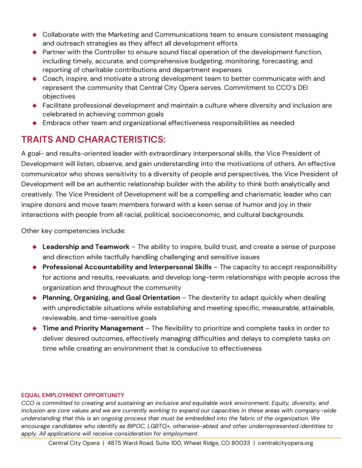- ◆ Collaborate with the Marketing and Communications team to ensure consistent messaging and outreach strategies as they affect all development efforts
- ◆ Partner with the Controller to ensure sound fiscal operation of the development function, including timely, accurate, and comprehensive budgeting, monitoring, forecasting, and reporting of charitable contributions and department expenses
- ◆ Coach, inspire, and motivate a strong development team to better communicate with and represent the community that Central City Opera serves. Commitment to CCO's DEI objectives
- ◆ Facilitate professional development and maintain a culture where diversity and inclusion are celebrated in achieving common goals
- ◆ Embrace other team and organizational effectiveness responsibilities as needed

# **TRAITS AND CHARACTERISTICS:**

A goal- and results-oriented leader with extraordinary interpersonal skills, the Vice President of Development will listen, observe, and gain understanding into the motivations of others. An effective communicator who shows sensitivity to a diversity of people and perspectives, the Vice President of Development will be an authentic relationship builder with the ability to think both analytically and creatively. The Vice President of Development will be a compelling and charismatic leader who can inspire donors and move team members forward with a keen sense of humor and joy in their interactions with people from all racial, political, socioeconomic, and cultural backgrounds.

Other key competencies include:

- ◆ Leadership and Teamwork The ability to inspire, build trust, and create a sense of purpose and direction while tactfully handling challenging and sensitive issues
- ◆ **Professional Accountability and Interpersonal Skills** The capacity to accept responsibility for actions and results, reevaluate, and develop long-term relationships with people across the organization and throughout the community
- ◆ **Planning, Organizing, and Goal Orientation** The dexterity to adapt quickly when dealing with unpredictable situations while establishing and meeting specific, measurable, attainable, reviewable, and time-sensitive goals
- ◆ **Time and Priority Management** The flexibility to prioritize and complete tasks in order to deliver desired outcomes, effectively managing difficulties and delays to complete tasks on time while creating an environment that is conducive to effectiveness

#### **EQUAL EMPLOYMENT OPPORTUNITY**

*CCO is committed to creating and sustaining an inclusive and equitable work environment. Equity, diversity, and inclusion are core values and we are currently working to expand our capacities in these areas with company-wide understanding that this is an ongoing process that must be embedded into the fabric of the organization. We encourage candidates who identify as BIPOC, LGBTQ+, otherwise-abled, and other underrepresented identities to apply. All applications will receive consideration for employment.*